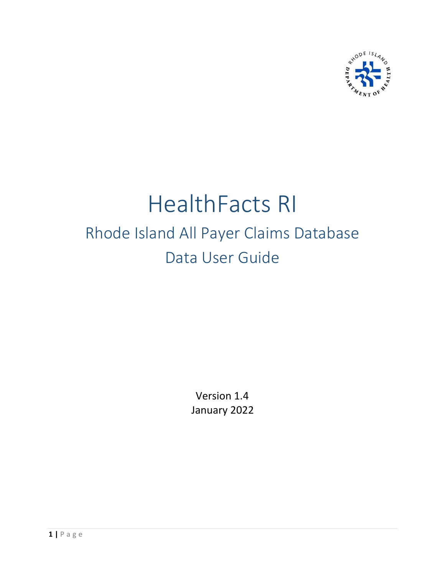

# HealthFacts RI Rhode Island All Payer Claims Database Data User Guide

Version 1.4 January 2022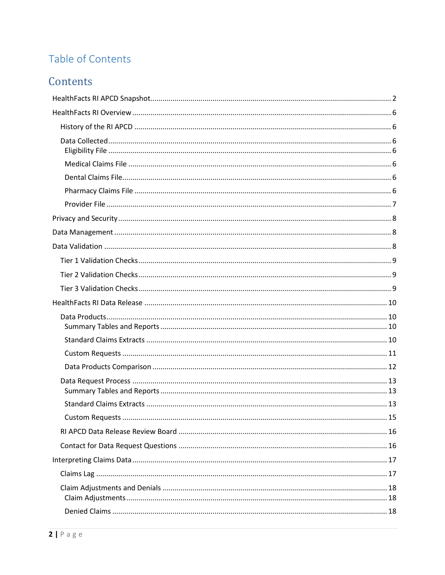# Table of Contents

# Contents

| $\dots$ 15 |  |
|------------|--|
|            |  |
|            |  |
|            |  |
|            |  |
|            |  |
|            |  |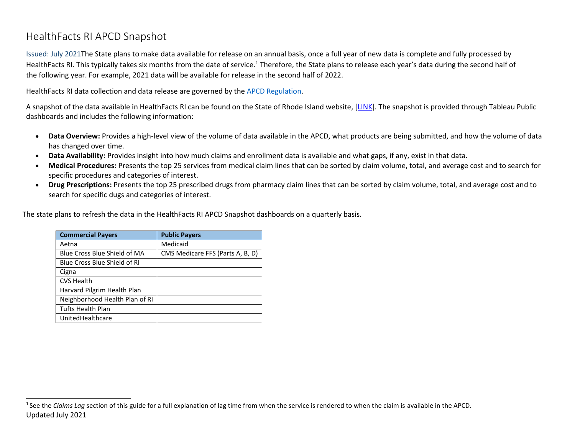# HealthFacts RI APCD Snapshot

Issued: July 2021The State plans to make data available for release on an annual basis, once a full year of new data is complete and fully processed by HealthFacts RI. This typically takes six months from the date of service.<sup>1</sup> Therefore, the State plans to release each year's data during the second half of the following year. For example, 2021 data will be available for release in the second half of 2022.

HealthFacts RI data collection and data release are governed by the [APCD Regulation.](https://rules.sos.ri.gov/regulations/part/216-10-10-5)

A snapshot of the data available in HealthFacts RI can be found on the State of Rhode Island website, [\[LINK\]](https://public.tableau.com/views/APCDSnapshot-RhodeIsland/1_DataOverview?:language=en-US&:display_count=n&:origin=viz_share_link). The snapshot is provided through Tableau Public dashboards and includes the following information:

- **Data Overview:** Provides a high-level view of the volume of data available in the APCD, what products are being submitted, and how the volume of data has changed over time.
- **Data Availability:** Provides insight into how much claims and enrollment data is available and what gaps, if any, exist in that data.
- <span id="page-3-0"></span>• **Medical Procedures:** Presents the top 25 services from medical claim lines that can be sorted by claim volume, total, and average cost and to search for specific procedures and categories of interest.
- **Drug Prescriptions:** Presents the top 25 prescribed drugs from pharmacy claim lines that can be sorted by claim volume, total, and average cost and to search for specific dugs and categories of interest.

The state plans to refresh the data in the HealthFacts RI APCD Snapshot dashboards on a quarterly basis.

| <b>Commercial Payers</b>       | <b>Public Payers</b>             |
|--------------------------------|----------------------------------|
| Aetna                          | Medicaid                         |
| Blue Cross Blue Shield of MA   | CMS Medicare FFS (Parts A, B, D) |
| Blue Cross Blue Shield of RI   |                                  |
| Cigna                          |                                  |
| <b>CVS Health</b>              |                                  |
| Harvard Pilgrim Health Plan    |                                  |
| Neighborhood Health Plan of RI |                                  |
| <b>Tufts Health Plan</b>       |                                  |
| UnitedHealthcare               |                                  |

Updated July 2021 <sup>1</sup> See the *Claims Lag* section of this guide for a full explanation of lag time from when the service is rendered to when the claim is available in the APCD.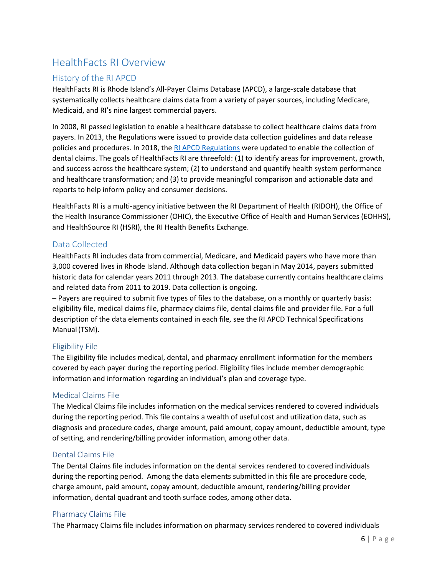# <span id="page-4-0"></span>HealthFacts RI Overview

# <span id="page-4-1"></span>History of the RI APCD

HealthFacts RI is Rhode Island's All-Payer Claims Database (APCD), a large-scale database that systematically collects healthcare claims data from a variety of payer sources, including Medicare, Medicaid, and RI's nine largest commercial payers.

In 2008, RI passed legislation to enable a healthcare database to collect healthcare claims data from payers. In 2013, the Regulations were issued to provide data collection guidelines and data release policies and procedures. In 2018, the [RI APCD Regulations](https://rules.sos.ri.gov/regulations/part/216-10-10-5) were updated to enable the collection of dental claims. The goals of HealthFacts RI are threefold: (1) to identify areas for improvement, growth, and success across the healthcare system; (2) to understand and quantify health system performance and healthcare transformation; and (3) to provide meaningful comparison and actionable data and reports to help inform policy and consumer decisions.

HealthFacts RI is a multi-agency initiative between the RI Department of Health (RIDOH), the Office of the Health Insurance Commissioner (OHIC), the Executive Office of Health and Human Services (EOHHS), and HealthSource RI (HSRI), the RI Health Benefits Exchange.

## <span id="page-4-2"></span>Data Collected

HealthFacts RI includes data from commercial, Medicare, and Medicaid payers who have more than 3,000 covered lives in Rhode Island. Although data collection began in May 2014, payers submitted historic data for calendar years 2011 through 2013. The database currently contains healthcare claims and related data from 2011 to 2019. Data collection is ongoing.

– Payers are required to submit five types of files to the database, on a monthly or quarterly basis: eligibility file, medical claims file, pharmacy claims file, dental claims file and provider file. For a full description of the data elements contained in each file, see the RI APCD Technical Specifications Manual(TSM).

#### <span id="page-4-3"></span>Eligibility File

The Eligibility file includes medical, dental, and pharmacy enrollment information for the members covered by each payer during the reporting period. Eligibility files include member demographic information and information regarding an individual's plan and coverage type.

#### <span id="page-4-4"></span>Medical Claims File

The Medical Claims file includes information on the medical services rendered to covered individuals during the reporting period. This file contains a wealth of useful cost and utilization data, such as diagnosis and procedure codes, charge amount, paid amount, copay amount, deductible amount, type of setting, and rendering/billing provider information, among other data.

#### <span id="page-4-5"></span>Dental Claims File

The Dental Claims file includes information on the dental services rendered to covered individuals during the reporting period. Among the data elements submitted in this file are procedure code, charge amount, paid amount, copay amount, deductible amount, rendering/billing provider information, dental quadrant and tooth surface codes, among other data.

#### <span id="page-4-6"></span>Pharmacy Claims File

The Pharmacy Claims file includes information on pharmacy services rendered to covered individuals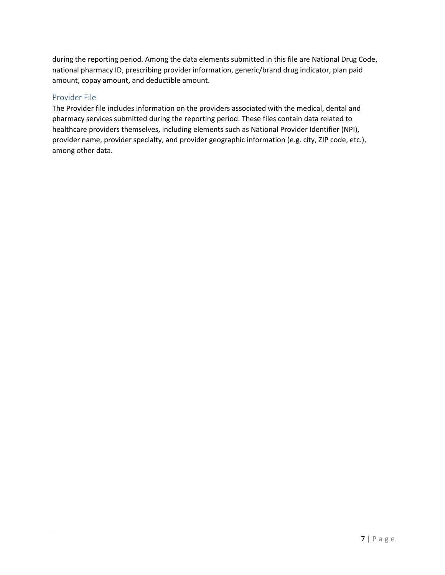during the reporting period. Among the data elements submitted in this file are National Drug Code, national pharmacy ID, prescribing provider information, generic/brand drug indicator, plan paid amount, copay amount, and deductible amount.

### <span id="page-5-0"></span>Provider File

The Provider file includes information on the providers associated with the medical, dental and pharmacy services submitted during the reporting period. These files contain data related to healthcare providers themselves, including elements such as National Provider Identifier (NPI), provider name, provider specialty, and provider geographic information (e.g. city, ZIP code, etc.), among other data.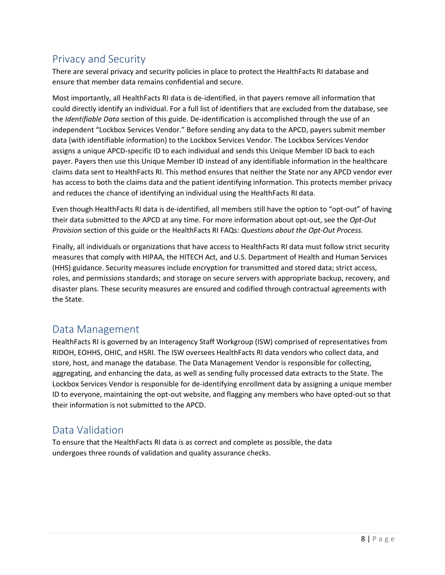# <span id="page-6-0"></span>Privacy and Security

There are several privacy and security policies in place to protect the HealthFacts RI database and ensure that member data remains confidential and secure.

Most importantly, all HealthFacts RI data is de-identified, in that payers remove all information that could directly identify an individual. For a full list of identifiers that are excluded from the database, see the *[Identifiable Data](#page-20-3)* section of this guide. De-identification is accomplished through the use of an independent "Lockbox Services Vendor." Before sending any data to the APCD, payers submit member data (with identifiable information) to the Lockbox Services Vendor. The Lockbox Services Vendor assigns a unique APCD-specific ID to each individual and sends this Unique Member ID back to each payer. Payers then use this Unique Member ID instead of any identifiable information in the healthcare claims data sent to HealthFacts RI. This method ensures that neither the State nor any APCD vendor ever has access to both the claims data and the patient identifying information. This protects member privacy and reduces the chance of identifying an individual using the HealthFacts RI data.

Even though HealthFacts RI data is de-identified, all members still have the option to "opt-out" of having their data submitted to the APCD at any time. For more information about opt-out, see the *Opt-Out Provision* section of this guide or the HealthFacts RI FAQs*: Questions about the Opt-Out Process.*

Finally, all individuals or organizations that have access to HealthFacts RI data must follow strict security measures that comply with HIPAA, the HITECH Act, and U.S. Department of Health and Human Services (HHS) guidance. Security measures include encryption for transmitted and stored data; strict access, roles, and permissions standards; and storage on secure servers with appropriate backup, recovery, and disaster plans. These security measures are ensured and codified through contractual agreements with the State.

# <span id="page-6-1"></span>Data Management

HealthFacts RI is governed by an Interagency Staff Workgroup (ISW) comprised of representatives from RIDOH, EOHHS, OHIC, and HSRI. The ISW oversees HealthFacts RI data vendors who collect data, and store, host, and manage the database. The Data Management Vendor is responsible for collecting, aggregating, and enhancing the data, as well as sending fully processed data extracts to the State. The Lockbox Services Vendor is responsible for de-identifying enrollment data by assigning a unique member ID to everyone, maintaining the opt-out website, and flagging any members who have opted-out so that their information is not submitted to the APCD.

# <span id="page-6-2"></span>Data Validation

To ensure that the HealthFacts RI data is as correct and complete as possible, the data undergoes three rounds of validation and quality assurance checks.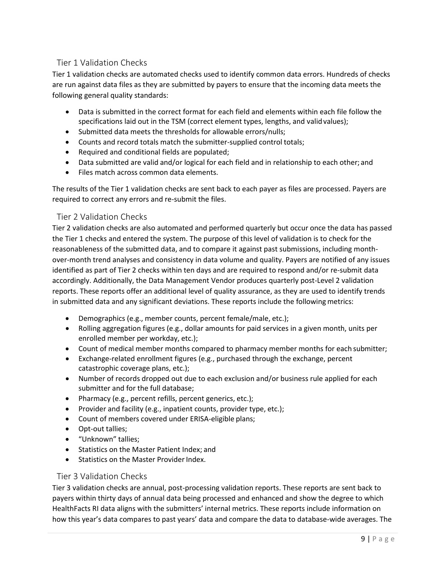# <span id="page-7-0"></span>Tier 1 Validation Checks

Tier 1 validation checks are automated checks used to identify common data errors. Hundreds of checks are run against data files as they are submitted by payers to ensure that the incoming data meets the following general quality standards:

- Data is submitted in the correct format for each field and elements within each file follow the specifications laid out in the TSM (correct element types, lengths, and validvalues);
- Submitted data meets the thresholds for allowable errors/nulls;
- Counts and record totals match the submitter-supplied control totals;
- Required and conditional fields are populated;
- Data submitted are valid and/or logical for each field and in relationship to each other; and
- Files match across common data elements.

The results of the Tier 1 validation checks are sent back to each payer as files are processed. Payers are required to correct any errors and re-submit the files.

#### <span id="page-7-1"></span>Tier 2 Validation Checks

Tier 2 validation checks are also automated and performed quarterly but occur once the data has passed the Tier 1 checks and entered the system. The purpose of this level of validation is to check for the reasonableness of the submitted data, and to compare it against past submissions, including monthover-month trend analyses and consistency in data volume and quality. Payers are notified of any issues identified as part of Tier 2 checks within ten days and are required to respond and/or re-submit data accordingly. Additionally, the Data Management Vendor produces quarterly post-Level 2 validation reports. These reports offer an additional level of quality assurance, as they are used to identify trends in submitted data and any significant deviations. These reports include the following metrics:

- Demographics (e.g., member counts, percent female/male, etc.);
- Rolling aggregation figures (e.g., dollar amounts for paid services in a given month, units per enrolled member per workday, etc.);
- Count of medical member months compared to pharmacy member months for each submitter;
- Exchange-related enrollment figures (e.g., purchased through the exchange, percent catastrophic coverage plans, etc.);
- Number of records dropped out due to each exclusion and/or business rule applied for each submitter and for the full database;
- Pharmacy (e.g., percent refills, percent generics, etc.);
- Provider and facility (e.g., inpatient counts, provider type, etc.);
- Count of members covered under ERISA-eligible plans;
- Opt-out tallies;
- "Unknown" tallies;
- Statistics on the Master Patient Index; and
- Statistics on the Master Provider Index.

#### <span id="page-7-2"></span>Tier 3 Validation Checks

Tier 3 validation checks are annual, post-processing validation reports. These reports are sent back to payers within thirty days of annual data being processed and enhanced and show the degree to which HealthFacts RI data aligns with the submitters' internal metrics. These reports include information on how this year's data compares to past years' data and compare the data to database-wide averages. The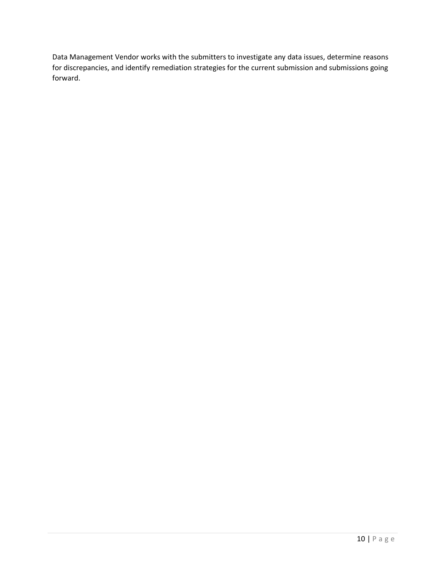Data Management Vendor works with the submitters to investigate any data issues, determine reasons for discrepancies, and identify remediation strategies for the current submission and submissions going forward.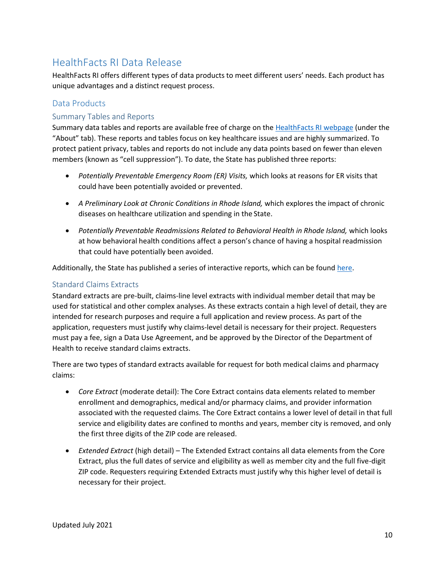# <span id="page-9-0"></span>HealthFacts RI Data Release

HealthFacts RI offers different types of data products to meet different users' needs. Each product has unique advantages and a distinct request process.

# <span id="page-9-1"></span>Data Products

### <span id="page-9-2"></span>Summary Tables and Reports

Summary data tables and reports are available free of charge on the [HealthFacts RI webpage](http://www.health.ri.gov/data/healthfactsri/) (under the "About" tab). These reports and tables focus on key healthcare issues and are highly summarized. To protect patient privacy, tables and reports do not include any data points based on fewer than eleven members (known as "cell suppression"). To date, the State has published three reports:

- *Potentially Preventable Emergency Room (ER) Visits,* which looks at reasons for ER visits that could have been potentially avoided or prevented.
- *A Preliminary Look at Chronic Conditions in Rhode Island,* which explores the impact of chronic diseases on healthcare utilization and spending in the State.
- Potentially Preventable Readmissions Related to Behavioral Health in Rhode Island, which looks at how behavioral health conditions affect a person's chance of having a hospital readmission that could have potentially been avoided.

Additionally, the State has published a series of interactive reports, which can be found [here.](https://app.powerbigov.us/view?r=eyJrIjoiNWJjMzA5NmQtZGE1OC00ZWI0LWE5YzktNTY3MDk5MmI2MWNmIiwidCI6IjUyY2E2YTU0LTQ0NjUtNDYzNS1iZmYzLTY1ZDBhODQxMjI4OCJ9)

## <span id="page-9-3"></span>Standard Claims Extracts

Standard extracts are pre-built, claims-line level extracts with individual member detail that may be used for statistical and other complex analyses. As these extracts contain a high level of detail, they are intended for research purposes and require a full application and review process. As part of the application, requesters must justify why claims-level detail is necessary for their project. Requesters must pay a fee, sign a Data Use Agreement, and be approved by the Director of the Department of Health to receive standard claims extracts.

There are two types of standard extracts available for request for both medical claims and pharmacy claims:

- *Core Extract* (moderate detail): The Core Extract contains data elements related to member enrollment and demographics, medical and/or pharmacy claims, and provider information associated with the requested claims. The Core Extract contains a lower level of detail in that full service and eligibility dates are confined to months and years, member city is removed, and only the first three digits of the ZIP code are released.
- *Extended Extract* (high detail) The Extended Extract contains all data elements from the Core Extract, plus the full dates of service and eligibility as well as member city and the full five-digit ZIP code. Requesters requiring Extended Extracts must justify why this higher level of detail is necessary for their project.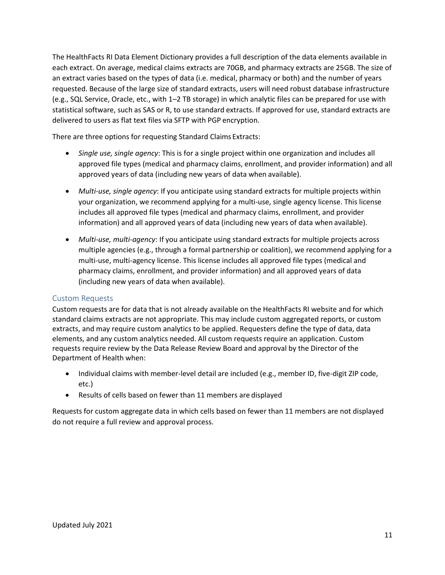The HealthFacts RI Data Element Dictionary provides a full description of the data elements available in each extract. On average, medical claims extracts are 70GB, and pharmacy extracts are 25GB. The size of an extract varies based on the types of data (i.e. medical, pharmacy or both) and the number of years requested. Because of the large size of standard extracts, users will need robust database infrastructure (e.g., SQL Service, Oracle, etc., with 1–2 TB storage) in which analytic files can be prepared for use with statistical software, such as SAS or R, to use standard extracts. If approved for use, standard extracts are delivered to users as flat text files via SFTP with PGP encryption.

There are three options for requesting Standard Claims Extracts:

- *Single use, single agency*: This is for a single project within one organization and includes all approved file types (medical and pharmacy claims, enrollment, and provider information) and all approved years of data (including new years of data when available).
- *Multi-use, single agency*: If you anticipate using standard extracts for multiple projects within your organization, we recommend applying for a multi-use, single agency license. This license includes all approved file types (medical and pharmacy claims, enrollment, and provider information) and all approved years of data (including new years of data when available).
- *Multi-use, multi-agency*: If you anticipate using standard extracts for multiple projects across multiple agencies (e.g., through a formal partnership or coalition), we recommend applying for a multi-use, multi-agency license. This license includes all approved file types (medical and pharmacy claims, enrollment, and provider information) and all approved years of data (including new years of data when available).

#### <span id="page-10-0"></span>Custom Requests

Custom requests are for data that is not already available on the HealthFacts RI website and for which standard claims extracts are not appropriate. This may include custom aggregated reports, or custom extracts, and may require custom analytics to be applied. Requesters define the type of data, data elements, and any custom analytics needed. All custom requests require an application. Custom requests require review by the Data Release Review Board and approval by the Director of the Department of Health when:

- Individual claims with member-level detail are included (e.g., member ID, five-digit ZIP code, etc.)
- Results of cells based on fewer than 11 members are displayed

Requests for custom aggregate data in which cells based on fewer than 11 members are not displayed do not require a full review and approval process.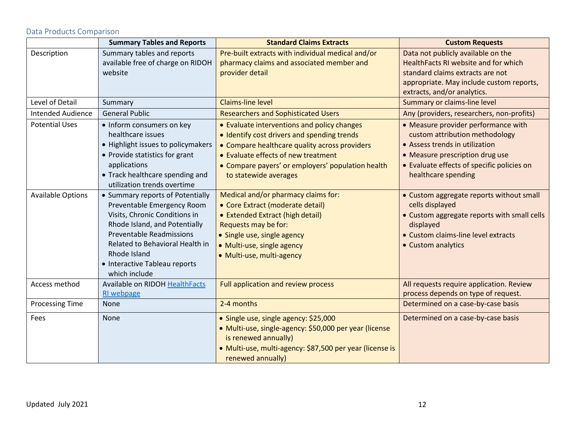#### <span id="page-11-0"></span>**Summary Tables and Reports Custom Requests Standard Claims Extracts Custom Standard Claims Extracts Custom Requests** Description Summary tables and reports available free of charge on RIDOH website Pre-built extracts with individual medical and/or pharmacy claims and associated member and provider detail Data not publicly available on the HealthFacts RI website and for which standard claims extracts are not appropriate. May include custom reports, extracts, and/or analytics. Level of Detail Summary Summary Summary Claims-line level Summary or claims-line level Intended Audience General Public Researchers and Sophisticated Users **Any (providers, researchers, non-profits)** Potential Uses **•** Inform consumers on key healthcare issues • Highlight issues to policymakers • Provide statistics for grant applications • Track healthcare spending and utilization trends overtime • Evaluate interventions and policy changes • Identify cost drivers and spending trends • Compare healthcare quality across providers • Evaluate effects of new treatment • Compare payers' or employers' population health to statewide averages • Measure provider performance with custom attribution methodology • Assess trends in utilization • Measure prescription drug use • Evaluate effects of specific policies on healthcare spending Available Options  $\|\bullet\$  Summary reports of Potentially Preventable Emergency Room Visits, Chronic Conditions in Rhode Island, and Potentially Preventable Readmissions Related to Behavioral Health in Rhode Island • Interactive Tableau reports which include Medical and/or pharmacy claims for: • Core Extract (moderate detail) • Extended Extract (high detail) Requests may be for: • Single use, single agency • Multi-use, single agency • Multi-use, multi-agency • Custom aggregate reports without small cells displayed • Custom aggregate reports with small cells displayed • Custom claims-line level extracts • Custom analytics Access method | Available on RIDO[H HealthFacts](http://www.health.ri.gov/data/healthfactsri/) [RI webpage](http://www.health.ri.gov/data/healthfactsri/) Full application and review process All requests require application. Review process depends on type of request. Processing Time None 2-4 months 2-4 months Determined on a case-by-case basis Fees None • Single use, single agency: \$25,000 • Multi-use, single-agency: \$50,000 per year (license is renewed annually) • Multi-use, multi-agency: \$87,500 per year (license is renewed annually) Determined on a case-by-case basis

Data Products Comparison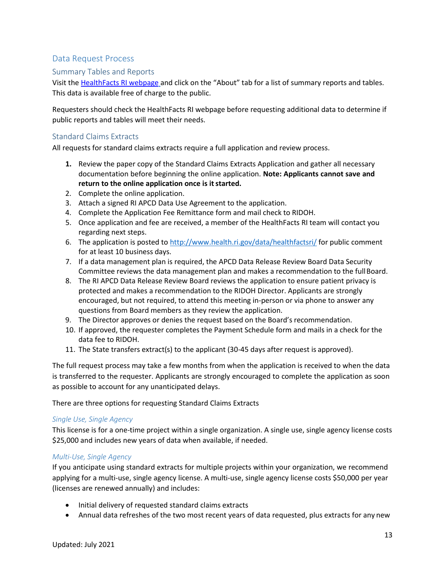## <span id="page-12-0"></span>Data Request Process

#### <span id="page-12-1"></span>Summary Tables and Reports

Visit the [HealthFacts RI webpage](https://health.ri.gov/data/healthfactsri/) and click on the "About" tab for a list of summary reports and tables. This data is available free of charge to the public.

Requesters should check the HealthFacts RI webpage before requesting additional data to determine if public reports and tables will meet their needs.

#### <span id="page-12-2"></span>Standard Claims Extracts

All requests for standard claims extracts require a full application and review process.

- **1.** Review the paper copy of the Standard Claims Extracts Application and gather all necessary documentation before beginning the online application. **Note: Applicants cannot save and**  return to the online application once is it started.
- 2. Complete the online application.
- 3. Attach a signed RI APCD Data Use Agreement to the application.
- 4. Complete the Application Fee Remittance form and mail check to RIDOH.
- 5. Once application and fee are received, a member of the HealthFacts RI team will contact you regarding next steps.
- 6. The application is posted to <http://www.health.ri.gov/data/healthfactsri/> for public comment for at least 10 business days.
- 7. If a data management plan is required, the APCD Data Release Review Board Data Security Committee reviews the data management plan and makes a recommendation to the full Board.
- 8. The RI APCD Data Release Review Board reviews the application to ensure patient privacy is protected and makes a recommendation to the RIDOH Director. Applicants are strongly encouraged, but not required, to attend this meeting in-person or via phone to answer any questions from Board members as they review the application.
- 9. The Director approves or denies the request based on the Board's recommendation.
- 10. If approved, the requester completes the Payment Schedule form and mails in a check for the data fee to RIDOH.
- 11. The State transfers extract(s) to the applicant (30-45 days after request is approved).

The full request process may take a few months from when the application is received to when the data is transferred to the requester. Applicants are strongly encouraged to complete the application as soon as possible to account for any unanticipated delays.

There are three options for requesting Standard Claims Extracts

#### *Single Use, Single Agency*

This license is for a one-time project within a single organization. A single use, single agency license costs \$25,000 and includes new years of data when available, if needed.

#### *Multi-Use, Single Agency*

If you anticipate using standard extracts for multiple projects within your organization, we recommend applying for a multi-use, single agency license. A multi-use, single agency license costs \$50,000 per year (licenses are renewed annually) and includes:

- Initial delivery of requested standard claims extracts
- Annual data refreshes of the two most recent years of data requested, plus extracts for any new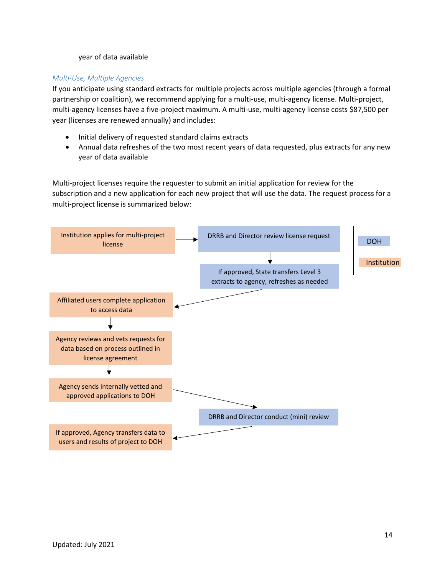#### year of data available

#### *Multi-Use, Multiple Agencies*

If you anticipate using standard extracts for multiple projects across multiple agencies (through a formal partnership or coalition), we recommend applying for a multi-use, multi-agency license. Multi-project, multi-agency licenses have a five-project maximum. A multi-use, multi-agency license costs \$87,500 per year (licenses are renewed annually) and includes:

- Initial delivery of requested standard claims extracts
- Annual data refreshes of the two most recent years of data requested, plus extracts for any new year of data available

Multi-project licenses require the requester to submit an initial application for review for the subscription and a new application for each new project that will use the data. The request process for a multi-project license is summarized below:

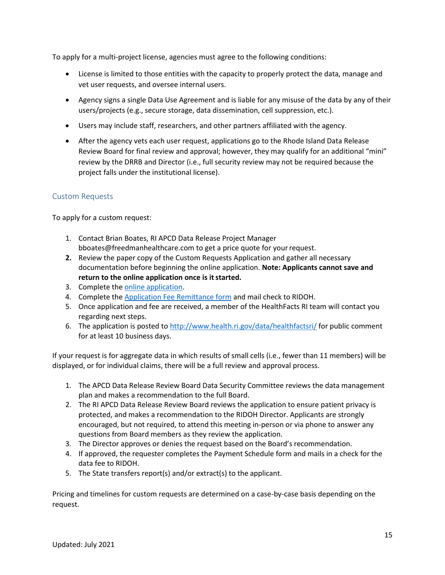To apply for a multi-project license, agencies must agree to the following conditions:

- License is limited to those entities with the capacity to properly protect the data, manage and vet user requests, and oversee internal users.
- Agency signs a single Data Use Agreement and is liable for any misuse of the data by any of their users/projects (e.g., secure storage, data dissemination, cell suppression, etc.).
- Users may include staff, researchers, and other partners affiliated with the agency.
- After the agency vets each user request, applications go to the Rhode Island Data Release Review Board for final review and approval; however, they may qualify for an additional "mini" review by the DRRB and Director (i.e., full security review may not be required because the project falls under the institutional license).

#### <span id="page-14-0"></span>Custom Requests

To apply for a custom request:

- 1. Contact Brian Boates, RI APCD Data Release Project Manage[r](mailto:bboates@freedmanhealthcare.com) [bboates@freedmanhealthcare.com t](mailto:bboates@freedmanhealthcare.com)o get a price quote for your request.
- **2.** Review the paper copy of the Custom Requests Application and gather all necessary documentation before beginning the online application. **Note: Applicants cannot save and**  return to the online application once is it started.
- 3. Complete the online [application.](https://healthri.wufoo.com/forms/z1n18jvs180iplc/)
- 4. Complete the [Application Fee Remittance form](http://www.health.ri.gov/forms/remittance/HealthFactsApplicationFee.docx) and mail check to RIDOH.
- 5. Once application and fee are received, a member of the HealthFacts RI team will contact you regarding next steps.
- 6. The application is posted to <http://www.health.ri.gov/data/healthfactsri/> for public comment for at least 10 business days.

If your request is for aggregate data in which results of small cells (i.e., fewer than 11 members) will be displayed, or for individual claims, there will be a full review and approval process.

- 1. The APCD Data Release Review Board Data Security Committee reviews the data management plan and makes a recommendation to the full Board.
- 2. The RI APCD Data Release Review Board reviews the application to ensure patient privacy is protected, and makes a recommendation to the RIDOH Director. Applicants are strongly encouraged, but not required, to attend this meeting in-person or via phone to answer any questions from Board members as they review the application.
- 3. The Director approves or denies the request based on the Board's recommendation.
- 4. If approved, the requester completes the Payment Schedule form and mails in a check for the data fee to RIDOH.
- 5. The State transfers report(s) and/or extract(s) to the applicant.

Pricing and timelines for custom requests are determined on a case-by-case basis depending on the request.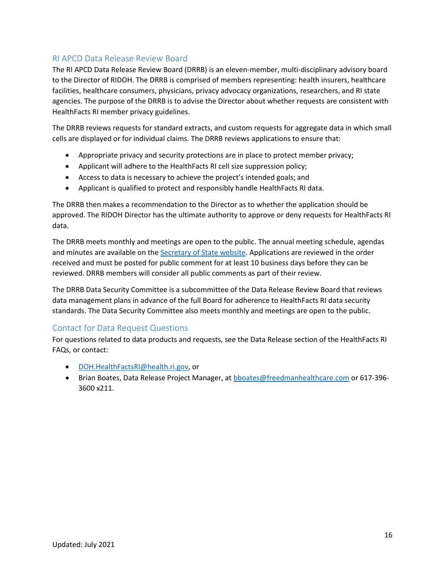# <span id="page-15-0"></span>RI APCD Data Release Review Board

The RI APCD Data Release Review Board (DRRB) is an eleven-member, multi-disciplinary advisory board to the Director of RIDOH. The DRRB is comprised of members representing: health insurers, healthcare facilities, healthcare consumers, physicians, privacy advocacy organizations, researchers, and RI state agencies. The purpose of the DRRB is to advise the Director about whether requests are consistent with HealthFacts RI member privacy guidelines.

The DRRB reviews requests for standard extracts, and custom requests for aggregate data in which small cells are displayed or for individual claims. The DRRB reviews applications to ensure that:

- Appropriate privacy and security protections are in place to protect member privacy;
- Applicant will adhere to the HealthFacts RI cell size suppression policy;
- Access to data is necessary to achieve the project's intended goals; and
- Applicant is qualified to protect and responsibly handle HealthFacts RI data.

The DRRB then makes a recommendation to the Director as to whether the application should be approved. The RIDOH Director has the ultimate authority to approve or deny requests for HealthFacts RI data.

The DRRB meets monthly and meetings are open to the public. The annual meeting schedule, agendas and minutes are available on the [Secretary of State website.](http://sos.ri.gov/openmeetings/) Applications are reviewed in the order received and must be posted for public comment for at least 10 business days before they can be reviewed. DRRB members will consider all public comments as part of their review.

The DRRB Data Security Committee is a subcommittee of the Data Release Review Board that reviews data management plans in advance of the full Board for adherence to HealthFacts RI data security standards. The Data Security Committee also meets monthly and meetings are open to the public.

## <span id="page-15-1"></span>Contact for Data Request Questions

For questions related to data products and requests, see the Data Release section of the HealthFacts RI FAQs, or contact:

- [DOH.HealthFactsRI@health.ri.gov,](mailto:DOH.HealthFactsRI@health.ri.gov) or
- Brian Boates, Data Release Project Manager, at [bboates@freedmanhealthcare.com](mailto:bboates@freedmanhealthcare.com) or 617-396- 3600 x211.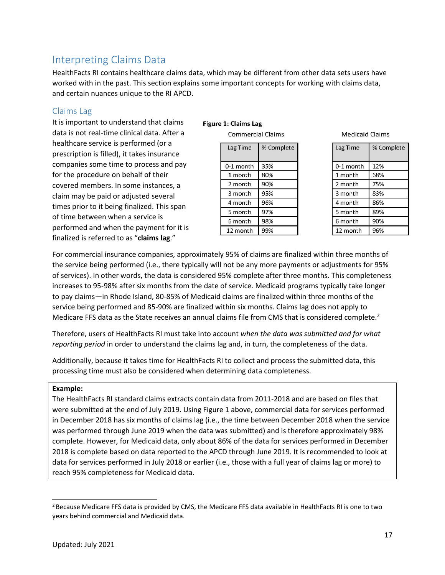# <span id="page-16-0"></span>Interpreting Claims Data

HealthFacts RI contains healthcare claims data, which may be different from other data sets users have worked with in the past. This section explains some important concepts for working with claims data, and certain nuances unique to the RI APCD.

### <span id="page-16-1"></span>Claims Lag

It is important to understand that claims data is not real-time clinical data. After a healthcare service is performed (or a prescription is filled), it takes insurance companies some time to process and pay for the procedure on behalf of their covered members. In some instances, a claim may be paid or adjusted several times prior to it being finalized. This span of time between when a service is performed and when the payment for it is finalized is referred to as "**claims lag**."

#### Figure 1: Claims Lag

**Commercial Claims** 

| Lag Time    | % Complete |
|-------------|------------|
| $0-1$ month | 35%        |
| 1 month     | 80%        |
| 2 month     | 90%        |
| 3 month     | 95%        |
| 4 month     | 96%        |
| 5 month     | 97%        |
| 6 month     | 98%        |
| 12 month    | 99%        |

**Medicaid Claims** 

| Lag Time  | % Complete |
|-----------|------------|
| 0-1 month | 12%        |
| 1 month   | 68%        |
| 2 month   | 75%        |
| 3 month   | 83%        |
| 4 month   | 86%        |
| 5 month   | 89%        |
| 6 month   | 90%        |
| 12 month  | 96%        |

For commercial insurance companies, approximately 95% of claims are finalized within three months of the service being performed (i.e., there typically will not be any more payments or adjustments for 95% of services). In other words, the data is considered 95% complete after three months. This completeness increases to 95-98% after six months from the date of service. Medicaid programs typically take longer to pay claims—in Rhode Island, 80-85% of Medicaid claims are finalized within three months of the service being performed and 85-90% are finalized within six months. Claims lag does not apply to Medicare FFS data as the State receives an annual claims file from CMS that is considered complete.<sup>2</sup>

Therefore, users of HealthFacts RI must take into account *when the data was submitted and for what reporting period* in order to understand the claims lag and, in turn, the completeness of the data.

Additionally, because it takes time for HealthFacts RI to collect and process the submitted data, this processing time must also be considered when determining data completeness.

#### **Example:**

The HealthFacts RI standard claims extracts contain data from 2011-2018 and are based on files that were submitted at the end of July 2019. Using Figure 1 above, commercial data for services performed in December 2018 has six months of claims lag (i.e., the time between December 2018 when the service was performed through June 2019 when the data was submitted) and is therefore approximately 98% complete. However, for Medicaid data, only about 86% of the data for services performed in December 2018 is complete based on data reported to the APCD through June 2019. It is recommended to look at data for services performed in July 2018 or earlier (i.e., those with a full year of claims lag or more) to reach 95% completeness for Medicaid data.

<sup>&</sup>lt;sup>2</sup> Because Medicare FFS data is provided by CMS, the Medicare FFS data available in HealthFacts RI is one to two years behind commercial and Medicaid data.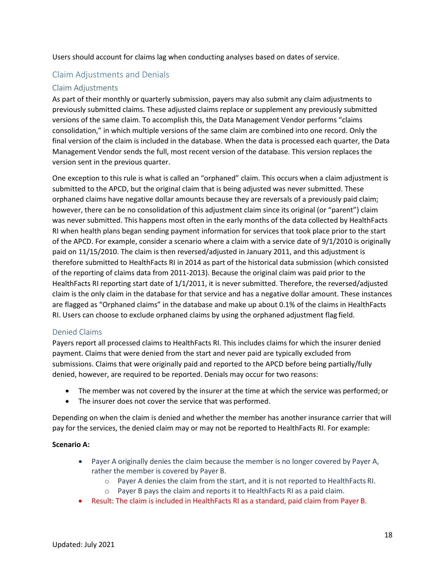Users should account for claims lag when conducting analyses based on dates of service.

## <span id="page-17-0"></span>Claim Adjustments and Denials

#### <span id="page-17-1"></span>Claim Adjustments

As part of their monthly or quarterly submission, payers may also submit any claim adjustments to previously submitted claims. These adjusted claims replace or supplement any previously submitted versions of the same claim. To accomplish this, the Data Management Vendor performs "claims consolidation," in which multiple versions of the same claim are combined into one record. Only the final version of the claim is included in the database. When the data is processed each quarter, the Data Management Vendor sends the full, most recent version of the database. This version replaces the version sent in the previous quarter.

One exception to this rule is what is called an "orphaned" claim. This occurs when a claim adjustment is submitted to the APCD, but the original claim that is being adjusted was never submitted. These orphaned claims have negative dollar amounts because they are reversals of a previously paid claim; however, there can be no consolidation of this adjustment claim since its original (or "parent") claim was never submitted. This happens most often in the early months of the data collected by HealthFacts RI when health plans began sending payment information for services that took place prior to the start of the APCD. For example, consider a scenario where a claim with a service date of 9/1/2010 is originally paid on 11/15/2010. The claim is then reversed/adjusted in January 2011, and this adjustment is therefore submitted to HealthFacts RI in 2014 as part of the historical data submission (which consisted of the reporting of claims data from 2011-2013). Because the original claim was paid prior to the HealthFacts RI reporting start date of 1/1/2011, it is never submitted. Therefore, the reversed/adjusted claim is the only claim in the database for that service and has a negative dollar amount. These instances are flagged as "Orphaned claims" in the database and make up about 0.1% of the claims in HealthFacts RI. Users can choose to exclude orphaned claims by using the orphaned adjustment flag field.

#### <span id="page-17-2"></span>Denied Claims

Payers report all processed claims to HealthFacts RI. This includes claims for which the insurer denied payment. Claims that were denied from the start and never paid are typically excluded from submissions. Claims that were originally paid and reported to the APCD before being partially/fully denied, however, are required to be reported. Denials may occur for two reasons:

- The member was not covered by the insurer at the time at which the service was performed; or
- The insurer does not cover the service that was performed.

Depending on when the claim is denied and whether the member has another insurance carrier that will pay for the services, the denied claim may or may not be reported to HealthFacts RI. For example:

#### **Scenario A:**

- Payer A originally denies the claim because the member is no longer covered by Payer A, rather the member is covered by Payer B.
	- o Payer A denies the claim from the start, and it is not reported to HealthFacts RI.
	- o Payer B pays the claim and reports it to HealthFacts RI as a paid claim.
- Result: The claim is included in HealthFacts RI as a standard, paid claim from Payer B.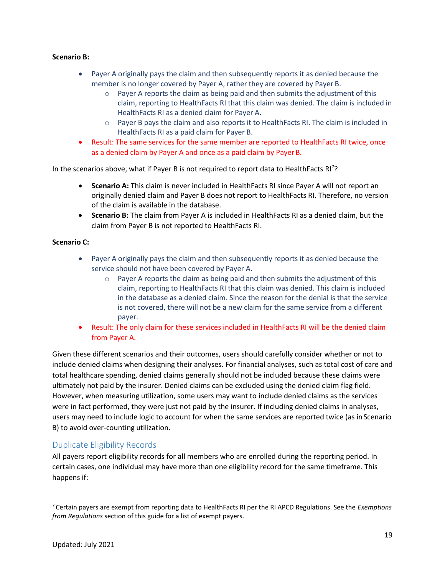#### **Scenario B:**

- Payer A originally pays the claim and then subsequently reports it as denied because the member is no longer covered by Payer A, rather they are covered by Payer B.
	- $\circ$  Payer A reports the claim as being paid and then submits the adjustment of this claim, reporting to HealthFacts RI that this claim was denied. The claim is included in HealthFacts RI as a denied claim for Payer A.
	- $\circ$  Payer B pays the claim and also reports it to HealthFacts RI. The claim is included in HealthFacts RI as a paid claim for Payer B.
- Result: The same services for the same member are reported to HealthFacts RI twice, once as a denied claim by Payer A and once as a paid claim by Payer B.

In the scenarios above, what if Payer B is not required to report data to HealthFacts RI<sup>7</sup>?

- **Scenario A:** This claim is never included in HealthFacts RI since Payer A will not report an originally denied claim and Payer B does not report to HealthFacts RI. Therefore, no version of the claim is available in the database.
- **Scenario B:** The claim from Payer A is included in HealthFacts RI as a denied claim, but the claim from Payer B is not reported to HealthFacts RI.

#### **Scenario C:**

- Payer A originally pays the claim and then subsequently reports it as denied because the service should not have been covered by Payer A.
	- $\circ$  Payer A reports the claim as being paid and then submits the adjustment of this claim, reporting to HealthFacts RI that this claim was denied. This claim is included in the database as a denied claim. Since the reason for the denial is that the service is not covered, there will not be a new claim for the same service from a different payer.
- Result: The only claim for these services included in HealthFacts RI will be the denied claim from Payer A.

Given these different scenarios and their outcomes, users should carefully consider whether or not to include denied claims when designing their analyses. For financial analyses, such as total cost of care and total healthcare spending, denied claims generally should not be included because these claims were ultimately not paid by the insurer. Denied claims can be excluded using the denied claim flag field. However, when measuring utilization, some users may want to include denied claims as the services were in fact performed, they were just not paid by the insurer. If including denied claims in analyses, users may need to include logic to account for when the same services are reported twice (as in Scenario B) to avoid over-counting utilization.

#### <span id="page-18-0"></span>Duplicate Eligibility Records

All payers report eligibility records for all members who are enrolled during the reporting period. In certain cases, one individual may have more than one eligibility record for the same timeframe. This happens if:

<sup>7</sup>Certain payers are exempt from reporting data to HealthFacts RI per the RI APCD Regulations. See the *[Exemptions](#page-20-2) [from Regulations](#page-20-2)* section of this guide for a list of exempt payers.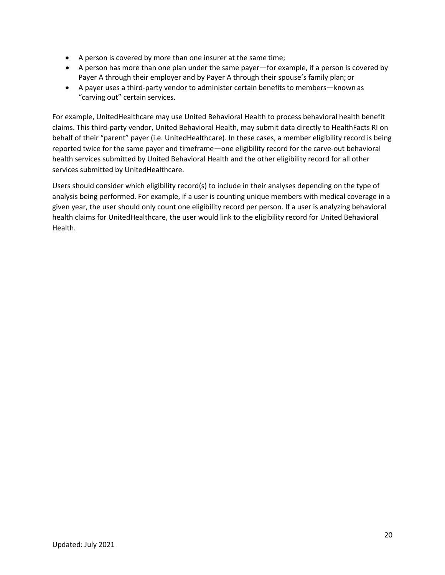- A person is covered by more than one insurer at the same time;
- A person has more than one plan under the same payer—for example, if a person is covered by Payer A through their employer and by Payer A through their spouse's family plan; or
- A payer uses a third-party vendor to administer certain benefits to members—known as "carving out" certain services.

For example, UnitedHealthcare may use United Behavioral Health to process behavioral health benefit claims. This third-party vendor, United Behavioral Health, may submit data directly to HealthFacts RI on behalf of their "parent" payer (i.e. UnitedHealthcare). In these cases, a member eligibility record is being reported twice for the same payer and timeframe—one eligibility record for the carve-out behavioral health services submitted by United Behavioral Health and the other eligibility record for all other services submitted by UnitedHealthcare.

Users should consider which eligibility record(s) to include in their analyses depending on the type of analysis being performed. For example, if a user is counting unique members with medical coverage in a given year, the user should only count one eligibility record per person. If a user is analyzing behavioral health claims for UnitedHealthcare, the user would link to the eligibility record for United Behavioral Health.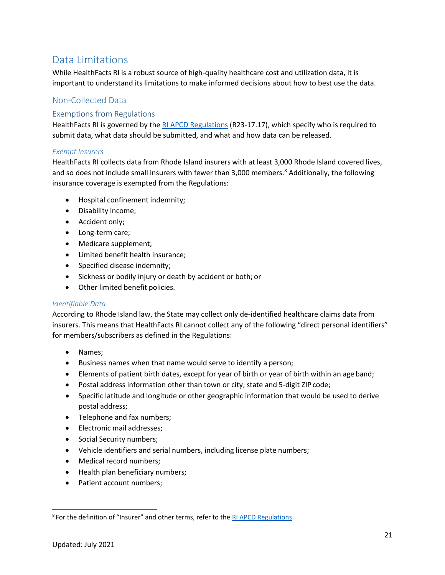# <span id="page-20-0"></span>Data Limitations

While HealthFacts RI is a robust source of high-quality healthcare cost and utilization data, it is important to understand its limitations to make informed decisions about how to best use the data.

# <span id="page-20-1"></span>Non-Collected Data

## <span id="page-20-2"></span>Exemptions from Regulations

HealthFacts RI is governed by the [RI APCD Regulations](http://sos.ri.gov/documents/archives/regdocs/released/pdf/DOH/7305.pdf) (R23-17.17), which specify who is required to submit data, what data should be submitted, and what and how data can be released.

#### <span id="page-20-4"></span>*Exempt Insurers*

HealthFacts RI collects data from Rhode Island insurers with at least 3,000 Rhode Island covered lives, and so does not include small insurers with fewer than 3,000 members.<sup>8</sup> Additionally, the following insurance coverage is exempted from the Regulations:

- Hospital confinement indemnity;
- Disability income;
- Accident only;
- Long-term care;
- Medicare supplement;
- Limited benefit health insurance;
- Specified disease indemnity;
- Sickness or bodily injury or death by accident or both; or
- Other limited benefit policies.

#### <span id="page-20-3"></span>*Identifiable Data*

According to Rhode Island law, the State may collect only de-identified healthcare claims data from insurers. This means that HealthFacts RI cannot collect any of the following "direct personal identifiers" for members/subscribers as defined in the Regulations:

- Names;
- Business names when that name would serve to identify a person;
- Elements of patient birth dates, except for year of birth or year of birth within an age band;
- Postal address information other than town or city, state and 5-digit ZIP code;
- Specific latitude and longitude or other geographic information that would be used to derive postal address;
- Telephone and fax numbers;
- Electronic mail addresses;
- Social Security numbers;
- Vehicle identifiers and serial numbers, including license plate numbers;
- Medical record numbers;
- Health plan beneficiary numbers;
- Patient account numbers;

<sup>8</sup> For the definition of "Insurer" and other terms, refer to the [RI APCD Regulations.](http://webserver.rilin.state.ri.us/Statutes/TITLE23/23-17.17/23-17.17-9.HTM)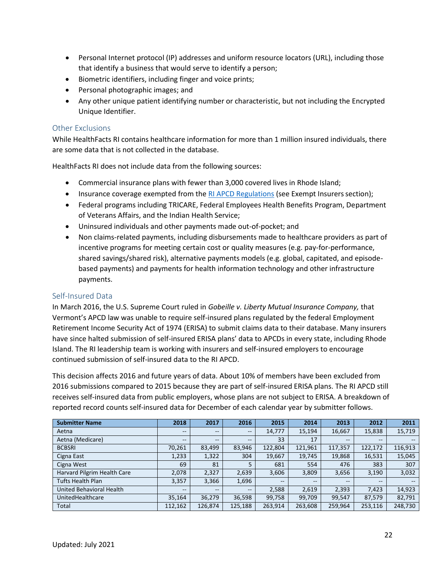- Personal Internet protocol (IP) addresses and uniform resource locators (URL), including those that identify a business that would serve to identify a person;
- Biometric identifiers, including finger and voice prints;
- Personal photographic images; and
- Any other unique patient identifying number or characteristic, but not including the Encrypted Unique Identifier.

#### <span id="page-21-0"></span>Other Exclusions

While HealthFacts RI contains healthcare information for more than 1 million insured individuals, there are some data that is not collected in the database.

HealthFacts RI does not include data from the following sources:

- Commercial insurance plans with fewer than 3,000 covered lives in Rhode Island;
- Insurance coverage exempted from the [RI APCD Regulations](http://webserver.rilin.state.ri.us/Statutes/TITLE23/23-17.17/23-17.17-9.HTM) (see Exempt Insurers section);
- Federal programs including TRICARE, Federal Employees Health Benefits Program, Department of Veterans Affairs, and the Indian Health Service;
- Uninsured individuals and other payments made out-of-pocket; and
- Non claims-related payments, including disbursements made to healthcare providers as part of incentive programs for meeting certain cost or quality measures (e.g. pay-for-performance, shared savings/shared risk), alternative payments models (e.g. global, capitated, and episodebased payments) and payments for health information technology and other infrastructure payments.

#### <span id="page-21-1"></span>Self-Insured Data

In March 2016, the U.S. Supreme Court ruled in *Gobeille v. Liberty Mutual Insurance Company,* that Vermont's APCD law was unable to require self-insured plans regulated by the federal Employment Retirement Income Security Act of 1974 (ERISA) to submit claims data to their database. Many insurers have since halted submission of self-insured ERISA plans' data to APCDs in every state, including Rhode Island. The RI leadership team is working with insurers and self-insured employers to encourage continued submission of self-insured data to the RI APCD.

This decision affects 2016 and future years of data. About 10% of members have been excluded from 2016 submissions compared to 2015 because they are part of self-insured ERISA plans. The RI APCD still receives self-insured data from public employers, whose plans are not subject to ERISA. A breakdown of reported record counts self-insured data for December of each calendar year by submitter follows.

| <b>Submitter Name</b>       | 2018                     | 2017    | 2016                     | 2015                     | 2014    | 2013              | 2012    | 2011                                  |
|-----------------------------|--------------------------|---------|--------------------------|--------------------------|---------|-------------------|---------|---------------------------------------|
| Aetna                       | $\overline{\phantom{m}}$ | $- -$   | $-\!$                    | 14,777                   | 15,194  | 16,667            | 15,838  | 15,719                                |
| Aetna (Medicare)            | $\overline{\phantom{m}}$ | $- -$   | $-$                      | 33                       | 17      | $\qquad \qquad -$ | --      | $- -$                                 |
| <b>BCBSRI</b>               | 70,261                   | 83,499  | 83,946                   | 122,804                  | 121,961 | 117,357           | 122,172 | 116,913                               |
| Cigna East                  | 1,233                    | 1,322   | 304                      | 19,667                   | 19,745  | 19,868            | 16,531  | 15,045                                |
| Cigna West                  | 69                       | 81      | 5                        | 681                      | 554     | 476               | 383     | 307                                   |
| Harvard Pilgrim Health Care | 2,078                    | 2,327   | 2,639                    | 3,606                    | 3,809   | 3,656             | 3,190   | 3,032                                 |
| <b>Tufts Health Plan</b>    | 3,357                    | 3,366   | 1,696                    | $\overline{\phantom{m}}$ | $- -$   | $\qquad \qquad -$ | $- -$   | $\hspace{0.05cm}$ – $\hspace{0.05cm}$ |
| United Behavioral Health    | $- -$                    | $- -$   | $\overline{\phantom{a}}$ | 2,588                    | 2,619   | 2,393             | 7.423   | 14,923                                |
| UnitedHealthcare            | 35,164                   | 36,279  | 36,598                   | 99,758                   | 99,709  | 99,547            | 87,579  | 82,791                                |
| Total                       | 112,162                  | 126,874 | 125,188                  | 263,914                  | 263,608 | 259,964           | 253,116 | 248,730                               |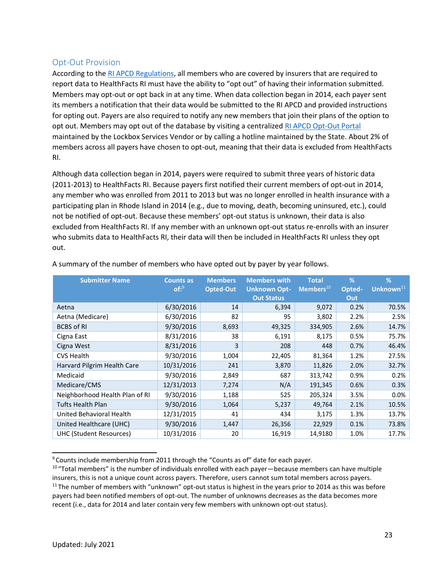### <span id="page-22-0"></span>Opt-Out Provision

According to th[e RI APCD Regulations,](http://webserver.rilin.state.ri.us/Statutes/TITLE23/23-17.17/23-17.17-9.HTM) all members who are covered by insurers that are required to report data to HealthFacts RI must have the ability to "opt out" of having their information submitted. Members may opt-out or opt back in at any time. When data collection began in 2014, each payer sent its members a notification that their data would be submitted to the RI APCD and provided instructions for opting out. Payers are also required to notify any new members that join their plans of the option to opt out. Members may opt out of the database by visiting a centralized [RI APCD Opt-Out Portal](https://www.riapcd-optout.com/) maintained by the Lockbox Services Vendor or by calling a hotline maintained by the State. About 2% of members across all payers have chosen to opt-out, meaning that their data is excluded from HealthFacts RI.

Although data collection began in 2014, payers were required to submit three years of historic data (2011-2013) to HealthFacts RI. Because payers first notified their current members of opt-out in 2014, any member who was enrolled from 2011 to 2013 but was no longer enrolled in health insurance with a participating plan in Rhode Island in 2014 (e.g., due to moving, death, becoming uninsured, etc.), could not be notified of opt-out. Because these members' opt-out status is unknown, their data is also excluded from HealthFacts RI. If any member with an unknown opt-out status re-enrolls with an insurer who submits data to HealthFacts RI, their data will then be included in HealthFacts RI unless they opt out.

| <b>Submitter Name</b>          | <b>Counts as</b> | <b>Members</b> | <b>Members with</b> | <b>Total</b>       | %      | %                     |
|--------------------------------|------------------|----------------|---------------------|--------------------|--------|-----------------------|
|                                | of:9             | Opted-Out      | <b>Unknown Opt-</b> | $M$ embers $^{10}$ | Opted- | Unknown <sup>11</sup> |
|                                |                  |                | <b>Out Status</b>   |                    | Out    |                       |
| Aetna                          | 6/30/2016        | 14             | 6,394               | 9,072              | 0.2%   | 70.5%                 |
| Aetna (Medicare)               | 6/30/2016        | 82             | 95                  | 3,802              | 2.2%   | 2.5%                  |
| <b>BCBS of RI</b>              | 9/30/2016        | 8,693          | 49,325              | 334,905            | 2.6%   | 14.7%                 |
| Cigna East                     | 8/31/2016        | 38             | 6,191               | 8,175              | 0.5%   | 75.7%                 |
| Cigna West                     | 8/31/2016        | 3              | 208                 | 448                | 0.7%   | 46.4%                 |
| <b>CVS Health</b>              | 9/30/2016        | 1,004          | 22,405              | 81,364             | 1.2%   | 27.5%                 |
| Harvard Pilgrim Health Care    | 10/31/2016       | 241            | 3,870               | 11,826             | 2.0%   | 32.7%                 |
| Medicaid                       | 9/30/2016        | 2,849          | 687                 | 313,742            | 0.9%   | 0.2%                  |
| Medicare/CMS                   | 12/31/2013       | 7,274          | N/A                 | 191,345            | 0.6%   | 0.3%                  |
| Neighborhood Health Plan of RI | 9/30/2016        | 1,188          | 525                 | 205,324            | 3.5%   | 0.0%                  |
| Tufts Health Plan              | 9/30/2016        | 1,064          | 5,237               | 49,764             | 2.1%   | 10.5%                 |
| United Behavioral Health       | 12/31/2015       | 41             | 434                 | 3,175              | 1.3%   | 13.7%                 |
| United Healthcare (UHC)        | 9/30/2016        | 1,447          | 26,356              | 22,929             | 0.1%   | 73.8%                 |
| <b>UHC (Student Resources)</b> | 10/31/2016       | 20             | 16,919              | 14,9180            | 1.0%   | 17.7%                 |

A summary of the number of members who have opted out by payer by year follows.

 $9$  Counts include membership from 2011 through the "Counts as of" date for each payer.

<sup>&</sup>lt;sup>10</sup> "Total members" is the number of individuals enrolled with each payer—because members can have multiple insurers, this is not a unique count across payers. Therefore, users cannot sum total members across payers.  $11$ The number of members with "unknown" opt-out status is highest in the years prior to 2014 as this was before payers had been notified members of opt-out. The number of unknowns decreases as the data becomes more recent (i.e., data for 2014 and later contain very few members with unknown opt-out status).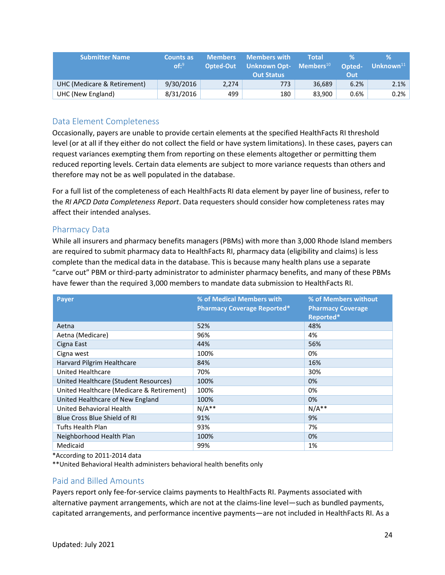| <b>Submitter Name</b>       | <b>Counts as</b><br>$of:$ <sup>9</sup> | <b>Members</b><br>Opted-Out | <b>Members with</b><br>  Unknown Opt- $\,$ Members $^{10}$ $\,$<br><b>Out Status</b> | <b>Total</b> | Opted-<br>Out | V.<br>Unknown $11$ |
|-----------------------------|----------------------------------------|-----------------------------|--------------------------------------------------------------------------------------|--------------|---------------|--------------------|
| UHC (Medicare & Retirement) | 9/30/2016                              | 2.274                       | 773.                                                                                 | 36.689       | 6.2%          | 2.1%               |
| UHC (New England)           | 8/31/2016                              | 499                         | 180                                                                                  | 83.900       | 0.6%          | 0.2%               |

## <span id="page-23-0"></span>Data Element Completeness

Occasionally, payers are unable to provide certain elements at the specified HealthFacts RI threshold level (or at all if they either do not collect the field or have system limitations). In these cases, payers can request variances exempting them from reporting on these elements altogether or permitting them reduced reporting levels. Certain data elements are subject to more variance requests than others and therefore may not be as well populated in the database.

For a full list of the completeness of each HealthFacts RI data element by payer line of business, refer to the *RI APCD Data Completeness Report*. Data requesters should consider how completeness rates may affect their intended analyses.

#### <span id="page-23-1"></span>Pharmacy Data

While all insurers and pharmacy benefits managers (PBMs) with more than 3,000 Rhode Island members are required to submit pharmacy data to HealthFacts RI, pharmacy data (eligibility and claims) is less complete than the medical data in the database. This is because many health plans use a separate "carve out" PBM or third-party administrator to administer pharmacy benefits, and many of these PBMs have fewer than the required 3,000 members to mandate data submission to HealthFacts RI.

| <b>Payer</b>                              | % of Medical Members with<br><b>Pharmacy Coverage Reported*</b> | % of Members without<br><b>Pharmacy Coverage</b><br>Reported* |
|-------------------------------------------|-----------------------------------------------------------------|---------------------------------------------------------------|
| Aetna                                     | 52%                                                             | 48%                                                           |
| Aetna (Medicare)                          | 96%                                                             | 4%                                                            |
| Cigna East                                | 44%                                                             | 56%                                                           |
| Cigna west                                | 100%                                                            | 0%                                                            |
| Harvard Pilgrim Healthcare                | 84%                                                             | 16%                                                           |
| United Healthcare                         | 70%                                                             | 30%                                                           |
| United Healthcare (Student Resources)     | 100%                                                            | 0%                                                            |
| United Healthcare (Medicare & Retirement) | 100%                                                            | 0%                                                            |
| United Healthcare of New England          | 100%                                                            | 0%                                                            |
| United Behavioral Health                  | $N/A**$                                                         | $N/A**$                                                       |
| Blue Cross Blue Shield of RL              | 91%                                                             | 9%                                                            |
| Tufts Health Plan                         | 93%                                                             | 7%                                                            |
| Neighborhood Health Plan                  | 100%                                                            | 0%                                                            |
| Medicaid                                  | 99%                                                             | 1%                                                            |

\*According to 2011-2014 data

\*\*United Behavioral Health administers behavioral health benefits only

## <span id="page-23-2"></span>Paid and Billed Amounts

Payers report only fee-for-service claims payments to HealthFacts RI. Payments associated with alternative payment arrangements, which are not at the claims-line level—such as bundled payments, capitated arrangements, and performance incentive payments—are not included in HealthFacts RI. As a